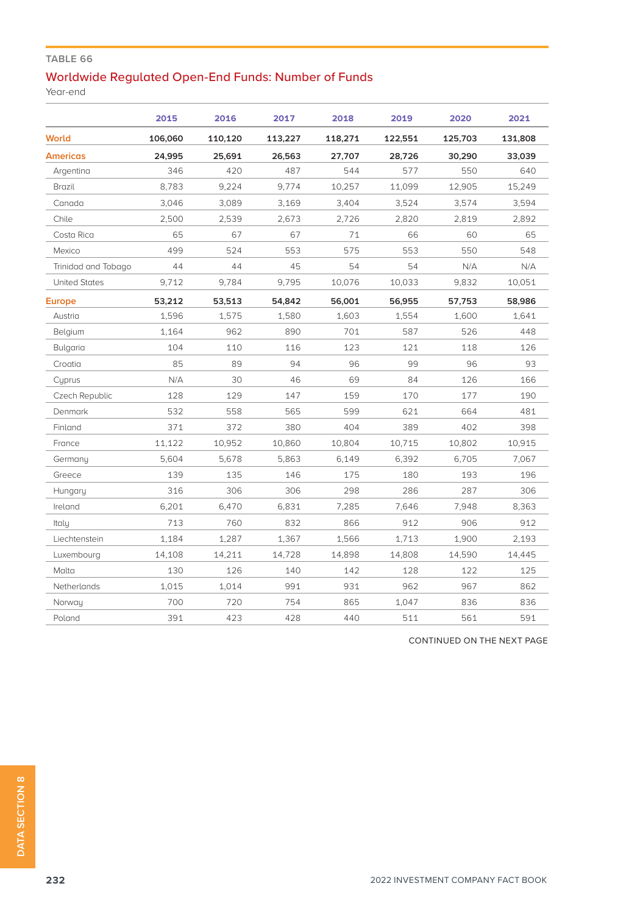## **TABLE 66**

## Worldwide Regulated Open-End Funds: Number of Funds

Year-end

|                      | 2015    | 2016    | 2017    | 2018    | 2019    | 2020    | 2021    |
|----------------------|---------|---------|---------|---------|---------|---------|---------|
| <b>World</b>         | 106,060 | 110,120 | 113,227 | 118,271 | 122,551 | 125,703 | 131,808 |
| <b>Americas</b>      | 24,995  | 25,691  | 26,563  | 27,707  | 28,726  | 30,290  | 33,039  |
| Argentina            | 346     | 420     | 487     | 544     | 577     | 550     | 640     |
| Brazil               | 8,783   | 9,224   | 9,774   | 10,257  | 11,099  | 12,905  | 15,249  |
| Canada               | 3,046   | 3,089   | 3,169   | 3,404   | 3,524   | 3,574   | 3,594   |
| Chile                | 2,500   | 2,539   | 2,673   | 2,726   | 2,820   | 2,819   | 2,892   |
| Costa Rica           | 65      | 67      | 67      | 71      | 66      | 60      | 65      |
| Mexico               | 499     | 524     | 553     | 575     | 553     | 550     | 548     |
| Trinidad and Tobago  | 44      | 44      | 45      | 54      | 54      | N/A     | N/A     |
| <b>United States</b> | 9,712   | 9,784   | 9,795   | 10,076  | 10,033  | 9,832   | 10,051  |
| <b>Europe</b>        | 53,212  | 53,513  | 54.842  | 56,001  | 56,955  | 57,753  | 58,986  |
| Austria              | 1,596   | 1,575   | 1,580   | 1,603   | 1,554   | 1,600   | 1,641   |
| Belgium              | 1,164   | 962     | 890     | 701     | 587     | 526     | 448     |
| Bulgaria             | 104     | 110     | 116     | 123     | 121     | 118     | 126     |
| Croatia              | 85      | 89      | 94      | 96      | 99      | 96      | 93      |
| Cyprus               | N/A     | 30      | 46      | 69      | 84      | 126     | 166     |
| Czech Republic       | 128     | 129     | 147     | 159     | 170     | 177     | 190     |
| Denmark              | 532     | 558     | 565     | 599     | 621     | 664     | 481     |
| Finland              | 371     | 372     | 380     | 404     | 389     | 402     | 398     |
| France               | 11,122  | 10,952  | 10.860  | 10,804  | 10,715  | 10,802  | 10,915  |
| Germany              | 5,604   | 5,678   | 5,863   | 6,149   | 6,392   | 6,705   | 7,067   |
| Greece               | 139     | 135     | 146     | 175     | 180     | 193     | 196     |
| Hungary              | 316     | 306     | 306     | 298     | 286     | 287     | 306     |
| Ireland              | 6,201   | 6,470   | 6,831   | 7,285   | 7,646   | 7,948   | 8,363   |
| Italy                | 713     | 760     | 832     | 866     | 912     | 906     | 912     |
| Liechtenstein        | 1,184   | 1,287   | 1,367   | 1,566   | 1,713   | 1,900   | 2,193   |
| Luxembourg           | 14,108  | 14,211  | 14,728  | 14,898  | 14,808  | 14,590  | 14,445  |
| Malta                | 130     | 126     | 140     | 142     | 128     | 122     | 125     |
| Netherlands          | 1,015   | 1,014   | 991     | 931     | 962     | 967     | 862     |
| Norway               | 700     | 720     | 754     | 865     | 1.047   | 836     | 836     |
| Poland               | 391     | 423     | 428     | 440     | 511     | 561     | 591     |

CONTINUED ON THE NEXT PAGE